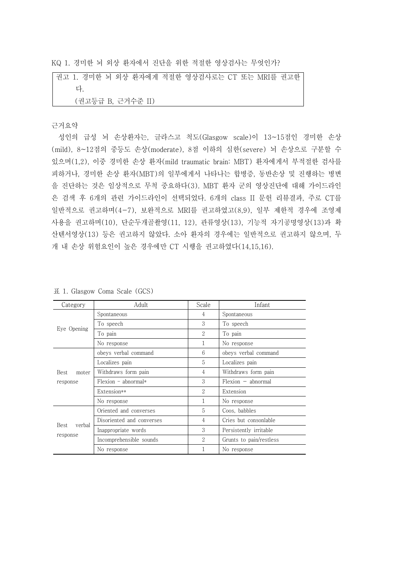KQ 1. 경미한 뇌 외상 환자에서 진단을 위한 적절한 영상검사는 무엇인가?

권고 1. 경미한 뇌 외상 환자에게 적절한 영상검사로는 CT 또는 MRI를 권고한 다.<br>(권고등급 B, 근거수준 II)

## 근거요약

성인의 급성 뇌 손상환자는, 글라스고 척도(Glasgow scale)이 13~15점인 경미한 손상 (mild), 8~12점의 중등도 손상(moderate), 8점 이하의 심한(severe) 뇌 손상으로 구분할 수 있으며(1,2), 이중 경미한 손상 환자(mild traumatic brain: MBT) 환자에게서 부적절한 검사를 피하거나, 경미한 손상 환자(MBT)의 일부에게서 나타나는 합병증, 동반손상 및 진행하는 병변 을 진단하는 것은 임상적으로 무척 중요하다(3). MBT 환자 군의 영상진단에 대해 가이드라인 은 검색 후 6개의 관련 가이드라인이 선택되었다. 6개의 class II 문헌 리뷰결과, 주로 CT를 일반적으로 권고하며(4-7), 보완적으로 MRI를 권고하였고(8,9), 일부 제한적 경우에 조영제 사용을 권고하며(10), 단순두개골촬영(11, 12), 관류영상(13), 기능적 자기공명영상(13)과 확 산텐서영상(13) 등은 권고하지 않았다. 소아 환자의 경우에는 일반적으로 권고하지 않으며, 두 개 내 손상 위험요인이 높은 경우에만 CT 시행을 권고하였다(14,15,16).

| Category                   | Adult                     | Scale             | Infant                  |  |
|----------------------------|---------------------------|-------------------|-------------------------|--|
| Eye Opening                | Spontaneous               | 4                 | Spontaneous             |  |
|                            | To speech                 | 3                 | To speech               |  |
|                            | To pain                   | $\overline{2}$    | To pain                 |  |
|                            | No response               | 1                 | No response             |  |
| Best<br>moter<br>response  | obeys verbal command      | 6                 | obeys verbal command    |  |
|                            | Localizes pain            | 5                 | Localizes pain          |  |
|                            | Withdraws form pain       | 4                 | Withdraws form pain     |  |
|                            | $Flexion - abnormal*$     | 3                 | $Flexion - abnormal$    |  |
|                            | Extension**               | $\overline{2}$    | Extension               |  |
|                            | No response               | 1                 | No response             |  |
| Best<br>verbal<br>response | Oriented and converses    | 5                 | Coos, babbles           |  |
|                            | Disoriented and converses | 4                 | Cries but consonlable   |  |
|                            | Inappropriate words       | 3                 | Persistently irritable  |  |
|                            | Incomprehensible sounds   | $\mathcal{D}_{1}$ | Grunts to pain/restless |  |
|                            | No response               |                   | No response             |  |

표 1. Glasgow Coma Scale (GCS)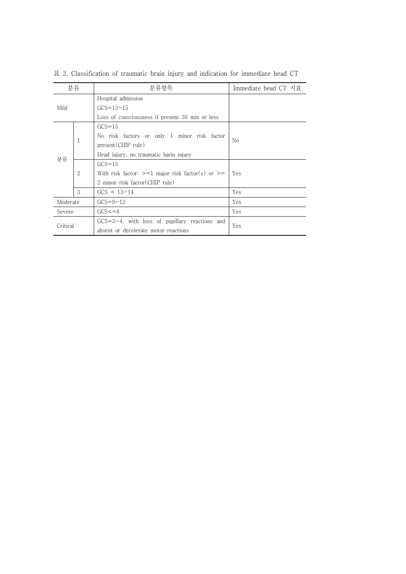|                                | 분류                                          | 분류항목                                                 | Immediate head CT 지표 |  |
|--------------------------------|---------------------------------------------|------------------------------------------------------|----------------------|--|
| Mild                           |                                             | Hospital admission                                   |                      |  |
|                                |                                             | $GCS = 13 - 15$                                      |                      |  |
|                                |                                             | Loss of consciousness if present 30 min or less      |                      |  |
| 1<br>분류<br>$\overline{2}$<br>3 | $GCS = 15$                                  |                                                      |                      |  |
|                                | No risk factors or only 1 minor risk factor | N <sub>0</sub>                                       |                      |  |
|                                | present (CHIP rule)                         |                                                      |                      |  |
|                                | Head injury, no traumatic barin injury      |                                                      |                      |  |
|                                |                                             | $GCS = 15$                                           |                      |  |
|                                |                                             | With risk factor: $>=1$ major risk factor(s) or $>=$ | Yes                  |  |
|                                |                                             | 2 minor risk factor (CHIP rule)                      |                      |  |
|                                |                                             | $GCS = 13-14$                                        | Yes                  |  |
| Moderate                       |                                             | $GCS=9-12$                                           | Yes                  |  |
| Severe                         |                                             | $GCS = 8$                                            | Yes                  |  |
| Critical                       |                                             | $GCS = 3-4$ , with loss of pupillary reactions and   | Yes                  |  |
|                                |                                             | absent or decelerate motor reactions                 |                      |  |

표 2. Classification of traumatic brain injury and indication for immediate head CT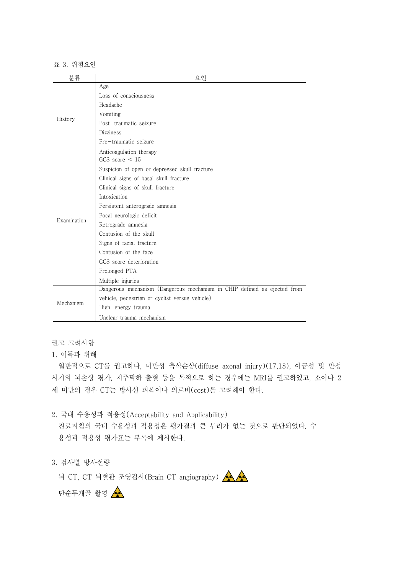## 표 3. 위험요인

| 분류          | 요인                                                                       |  |  |  |
|-------------|--------------------------------------------------------------------------|--|--|--|
| History     | Age                                                                      |  |  |  |
|             | Loss of consciousness                                                    |  |  |  |
|             | Headache                                                                 |  |  |  |
|             | Vomiting                                                                 |  |  |  |
|             | Post-traumatic seizure                                                   |  |  |  |
|             | <b>Dizziness</b>                                                         |  |  |  |
|             | Pre-traumatic seizure                                                    |  |  |  |
|             | Anticoagulation therapy                                                  |  |  |  |
|             | GCS score $\leq 15$                                                      |  |  |  |
|             | Suspicion of open or depressed skull fracture                            |  |  |  |
|             | Clinical signs of basal skull fracture                                   |  |  |  |
|             | Clinical signs of skull fracture                                         |  |  |  |
|             | Intoxication                                                             |  |  |  |
| Examination | Persistent anterograde amnesia                                           |  |  |  |
|             | Focal neurologic deficit                                                 |  |  |  |
|             | Retrograde amnesia                                                       |  |  |  |
|             | Contusion of the skull                                                   |  |  |  |
|             | Signs of facial fracture                                                 |  |  |  |
|             | Contusion of the face                                                    |  |  |  |
|             | GCS score deterioration                                                  |  |  |  |
|             | Prolonged PTA                                                            |  |  |  |
|             | Multiple injuries                                                        |  |  |  |
| Mechanism   | Dangerous mechanism (Dangerous mechanism in CHIP defined as ejected from |  |  |  |
|             | vehicle, pedestrian or cyclist versus vehicle)                           |  |  |  |
|             | High-energy trauma                                                       |  |  |  |
|             | Unclear trauma mechanism                                                 |  |  |  |

권고 고려사항

## 1. 이득과 위해

일반적으로 CT를 권고하나, 미만성 축삭손상(diffuse axonal injury)(17,18), 아급성 및 만성 시기의 뇌손상 평가, 지주막하 출혈 등을 목적으로 하는 경우에는 MRI를 권고하였고, 소아나 2 세 미만의 경우 CT는 방사선 피폭이나 의료비(cost)를 고려해야 한다.

- 2. 국내 수용성과 적용성(Acceptability and Applicability) 진료지침의 국내 수용성과 적용성은 평가결과 큰 무리가 없는 것으로 판단되었다. 수 용성과 적용성 평가표는 부록에 제시한다.<br>3. 검사별 방사선량
- 

뇌 CT, CT 뇌혈관 조영검사(Brain CT angiography)

단순두개골 촬영 <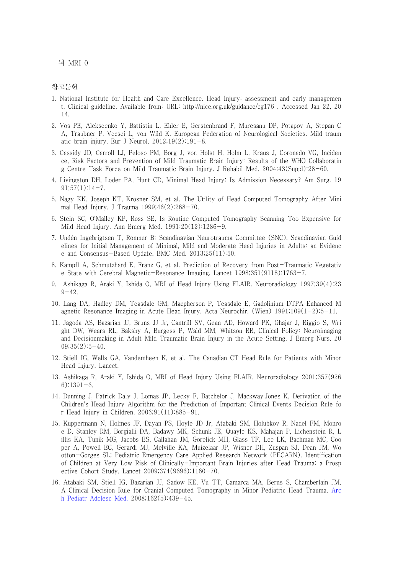뇌 MRI 0

참고문헌

- 1. National Institute for Health and Care Excellence. Head Injury: assessment and early managemen t. Clinical guideline. Available from: URL: http://nice.org.uk/guidance/cg176 . Accessed Jan 22, 20 14.
- 2. Vos PE, Alekseenko Y, Battistin L, Ehler E, Gerstenbrand F, Muresanu DF, Potapov A, Stepan C A, Traubner P, Vecsei L, von Wild K, European Federation of Neurological Societies. Mild traum atic brain injury. Eur J Neurol.  $2012;19(2):191-8$ .
- 3. Cassidy JD, Carroll LJ, Peloso PM, Borg J, von Holst H, Holm L, Kraus J, Coronado VG, Inciden ce, Risk Factors and Prevention of Mild Traumatic Brain Injury: Results of the WHO Collaboratin g Centre Task Force on Mild Traumatic Brain Injury. J Rehabil Med. 2004;43(Suppl):28-60.
- 4. Livingston DH, Loder PA, Hunt CD, Minimal Head Injury: Is Admission Necessary? Am Surg. 19  $91;57(1):14-7.$
- 5. Nagy KK, Joseph KT, Krosner SM, et al. The Utility of Head Computed Tomography After Mini mal Head Injury. J Trauma 1999;46(2):268-70.
- 6. Stein SC, O'Malley KF, Ross SE, Is Routine Computed Tomography Scanning Too Expensive for Mild Head Injury. Ann Emerg Med. 1991;20(12):1286-9.
- 7. Undén Ingebrigtsen T, Romner B; Scandinavian Neurotrauma Committee (SNC). Scandinavian Guid elines for Initial Management of Minimal, Mild and Moderate Head Injuries in Adults: an Evidenc e and Consensus-Based Update. BMC Med. 2013;25(11):50.
- 8. Kampfl A, Schmutzhard E, Franz G, et al. Prediction of Recovery from Post-Traumatic Vegetativ e State with Cerebral Magnetic-Resonance Imaging. Lancet 1998;351(9118):1763-7.
- 9. Ashikaga R, Araki Y, Ishida O, MRI of Head Injury Using FLAIR. Neuroradiology 1997;39(4):23  $9 - 42.$
- 10. Lang DA, Hadley DM, Teasdale GM, Macpherson P, Teasdale E, Gadolinium DTPA Enhanced M agnetic Resonance Imaging in Acute Head Injury. Acta Neurochir. (Wien) 1991;109(1-2):5-11.
- 11. Jagoda AS, Bazarian JJ, Bruns JJ Jr, Cantrill SV, Gean AD, Howard PK, Ghajar J, Riggio S, Wri ght DW, Wears RL, Bakshy A, Burgess P, Wald MM, Whitson RR, Clinical Policy: Neuroimaging and Decisionmaking in Adult Mild Traumatic Brain Injury in the Acute Setting. J Emerg Nurs. 20  $09;35(2):5-40.$
- 12. Stiell IG, Wells GA, Vandemheen K, et al. The Canadian CT Head Rule for Patients with Minor Head Injury. Lancet.
- 13. Ashikaga R, Araki Y, Ishida O, MRI of Head Injury Using FLAIR. Neuroradiology 2001;357(926  $6)$ :1391-6.
- 14. Dunning J, Patrick Daly J, Lomas JP, Lecky F, Batchelor J, Mackway‐Jones K, Derivation of the Children's Head Injury Algorithm for the Prediction of Important Clinical Events Decision Rule fo r Head Injury in Children. 2006;91(11):885-91.
- 15. Kuppermann N, Holmes JF, Dayan PS, Hoyle JD Jr, Atabaki SM, Holubkov R, Nadel FM, Monro e D, Stanley RM, Borgialli DA, Badawy MK, Schunk JE, Quayle KS, Mahajan P, Lichenstein R, L illis KA, Tunik MG, Jacobs ES, Callahan JM, Gorelick MH, Glass TF, Lee LK, Bachman MC, Coo per A, Powell EC, Gerardi MJ, Melville KA, Muizelaar JP, Wisner DH, Zuspan SJ, Dean JM, Wo otton-Gorges SL; Pediatric Emergency Care Applied Research Network (PECARN). Identification of Children at Very Low Risk of Clinically-Important Brain Injuries after Head Trauma: a Prosp ective Cohort Study. Lancet 2009;374(9696):1160-70.
- 16. Atabaki SM, Stiell IG, Bazarian JJ, Sadow KE, Vu TT, Camarca MA, Berns S, Chamberlain JM, A Clinical Decision Rule for Cranial Computed Tomography in Minor Pediatric Head Trauma. Arc h Pediatr Adolesc Med. 2008;162(5):439-45.